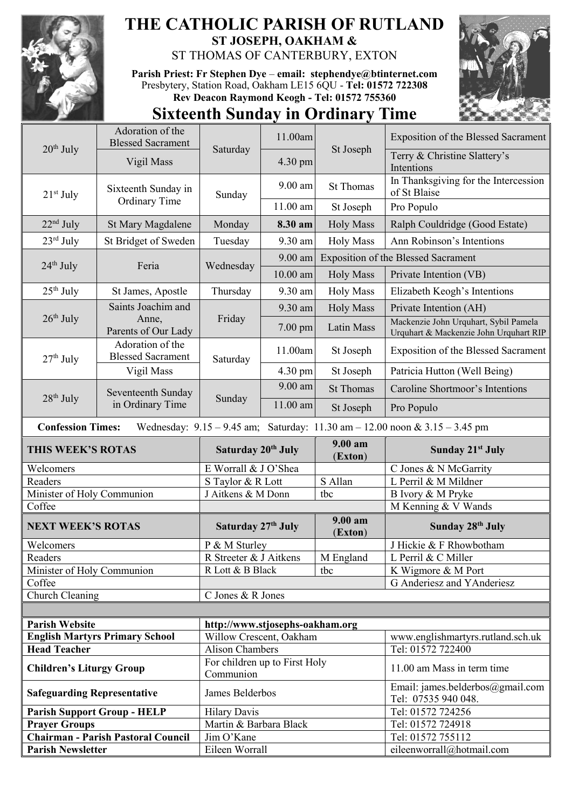

## **THE CATHOLIC PARISH OF RUTLAND ST JOSEPH, OAKHAM &**  ST THOMAS OF CANTERBURY, EXTON

**Parish Priest: Fr Stephen Dye** – **[email: stephendye@btinternet.com](mailto:email:%20%20stephendye@btinternet.com)** Presbytery, Station Road, Oakham LE15 6QU - **Tel: 01572 722308 Rev Deacon Raymond Keogh - Tel: 01572 755360**



## **Sixteenth Sunday in Ordinary Time**

| $20th$ July                        | Adoration of the<br><b>Blessed Sacrament</b>                                                                    | Saturday                                   | 11.00am    | St Joseph                                  | <b>Exposition of the Blessed Sacrament</b>                                      |  |  |  |  |
|------------------------------------|-----------------------------------------------------------------------------------------------------------------|--------------------------------------------|------------|--------------------------------------------|---------------------------------------------------------------------------------|--|--|--|--|
|                                    | Vigil Mass                                                                                                      |                                            | 4.30 pm    |                                            | Terry & Christine Slattery's<br>Intentions                                      |  |  |  |  |
| $21st$ July                        | Sixteenth Sunday in<br>Ordinary Time                                                                            | Sunday                                     | $9.00$ am  | <b>St Thomas</b>                           | In Thanksgiving for the Intercession<br>of St Blaise                            |  |  |  |  |
|                                    |                                                                                                                 |                                            | 11.00 am   | St Joseph                                  | Pro Populo                                                                      |  |  |  |  |
| $22nd$ July                        | St Mary Magdalene                                                                                               | Monday                                     | 8.30 am    | <b>Holy Mass</b>                           | Ralph Couldridge (Good Estate)                                                  |  |  |  |  |
| $23^{\text{rd}}$ July              | St Bridget of Sweden                                                                                            | Tuesday                                    | 9.30 am    | <b>Holy Mass</b>                           | Ann Robinson's Intentions                                                       |  |  |  |  |
| $24th$ July                        | Feria                                                                                                           | Wednesday                                  | $9.00$ am  | <b>Exposition of the Blessed Sacrament</b> |                                                                                 |  |  |  |  |
|                                    |                                                                                                                 |                                            | $10.00$ am | <b>Holy Mass</b>                           | Private Intention (VB)                                                          |  |  |  |  |
| $25th$ July                        | St James, Apostle                                                                                               | Thursday                                   | 9.30 am    | <b>Holy Mass</b>                           | Elizabeth Keogh's Intentions                                                    |  |  |  |  |
|                                    | Saints Joachim and                                                                                              | Friday                                     | 9.30 am    | <b>Holy Mass</b>                           | Private Intention (AH)                                                          |  |  |  |  |
| $26th$ July                        | Anne,<br>Parents of Our Lady                                                                                    |                                            | $7.00$ pm  | Latin Mass                                 | Mackenzie John Urquhart, Sybil Pamela<br>Urquhart & Mackenzie John Urquhart RIP |  |  |  |  |
| $27th$ July                        | Adoration of the<br><b>Blessed Sacrament</b>                                                                    | Saturday                                   | 11.00am    | St Joseph                                  | Exposition of the Blessed Sacrament                                             |  |  |  |  |
|                                    | Vigil Mass                                                                                                      |                                            | 4.30 pm    | St Joseph                                  | Patricia Hutton (Well Being)                                                    |  |  |  |  |
|                                    | Seventeenth Sunday<br>in Ordinary Time                                                                          | Sunday                                     | 9.00 am    | <b>St Thomas</b>                           | Caroline Shortmoor's Intentions                                                 |  |  |  |  |
| $28th$ July                        |                                                                                                                 |                                            | 11.00 am   | St Joseph                                  | Pro Populo                                                                      |  |  |  |  |
|                                    | <b>Confession Times:</b><br>Wednesday: $9.15 - 9.45$ am; Saturday: $11.30$ am $- 12.00$ noon & $3.15 - 3.45$ pm |                                            |            |                                            |                                                                                 |  |  |  |  |
| THIS WEEK'S ROTAS                  |                                                                                                                 |                                            |            |                                            |                                                                                 |  |  |  |  |
|                                    |                                                                                                                 | Saturday 20 <sup>th</sup> July             |            | 9.00 am<br>(Exton)                         | Sunday 21 <sup>st</sup> July                                                    |  |  |  |  |
| Welcomers                          |                                                                                                                 | E Worrall & J O'Shea                       |            |                                            | C Jones & N McGarrity                                                           |  |  |  |  |
| Readers                            |                                                                                                                 | S Taylor & R Lott                          |            | S Allan                                    | L Perril & M Mildner                                                            |  |  |  |  |
| Minister of Holy Communion         |                                                                                                                 | J Aitkens & M Donn                         |            | tbc                                        | B Ivory & M Pryke                                                               |  |  |  |  |
| Coffee                             |                                                                                                                 |                                            |            |                                            | M Kenning & V Wands                                                             |  |  |  |  |
| <b>NEXT WEEK'S ROTAS</b>           |                                                                                                                 | Saturday 27th July                         |            | 9.00 am<br>(Exton)                         | Sunday 28th July                                                                |  |  |  |  |
| Welcomers                          |                                                                                                                 | P & M Sturley                              |            |                                            | J Hickie & F Rhowbotham                                                         |  |  |  |  |
| Readers                            |                                                                                                                 | R Streeter & J Aitkens                     |            | M England                                  | L Perril & C Miller                                                             |  |  |  |  |
| Minister of Holy Communion         |                                                                                                                 | R Lott & B Black                           |            | tbc                                        | K Wigmore & M Port                                                              |  |  |  |  |
| Coffee                             |                                                                                                                 |                                            |            |                                            | G Anderiesz and YAnderiesz                                                      |  |  |  |  |
| Church Cleaning                    |                                                                                                                 | C Jones & R Jones                          |            |                                            |                                                                                 |  |  |  |  |
|                                    |                                                                                                                 |                                            |            |                                            |                                                                                 |  |  |  |  |
| <b>Parish Website</b>              |                                                                                                                 | http://www.stjosephs-oakham.org            |            |                                            |                                                                                 |  |  |  |  |
|                                    | <b>English Martyrs Primary School</b>                                                                           | Willow Crescent, Oakham                    |            |                                            | www.englishmartyrs.rutland.sch.uk                                               |  |  |  |  |
| <b>Head Teacher</b>                |                                                                                                                 | <b>Alison Chambers</b>                     |            |                                            | Tel: 01572 722400                                                               |  |  |  |  |
| <b>Children's Liturgy Group</b>    |                                                                                                                 | For children up to First Holy<br>Communion |            |                                            | 11.00 am Mass in term time                                                      |  |  |  |  |
| <b>Safeguarding Representative</b> |                                                                                                                 | James Belderbos                            |            |                                            | Email: james.belderbos@gmail.com<br>Tel: 07535 940 048.                         |  |  |  |  |
|                                    | <b>Parish Support Group - HELP</b>                                                                              | <b>Hilary Davis</b>                        |            |                                            | Tel: 01572 724256                                                               |  |  |  |  |
| <b>Prayer Groups</b>               |                                                                                                                 | Martin & Barbara Black                     |            |                                            | Tel: 01572 724918                                                               |  |  |  |  |
| <b>Parish Newsletter</b>           | <b>Chairman - Parish Pastoral Council</b>                                                                       | Jim O'Kane<br>Eileen Worrall               |            |                                            | Tel: 01572 755112<br>eileenworrall@hotmail.com                                  |  |  |  |  |